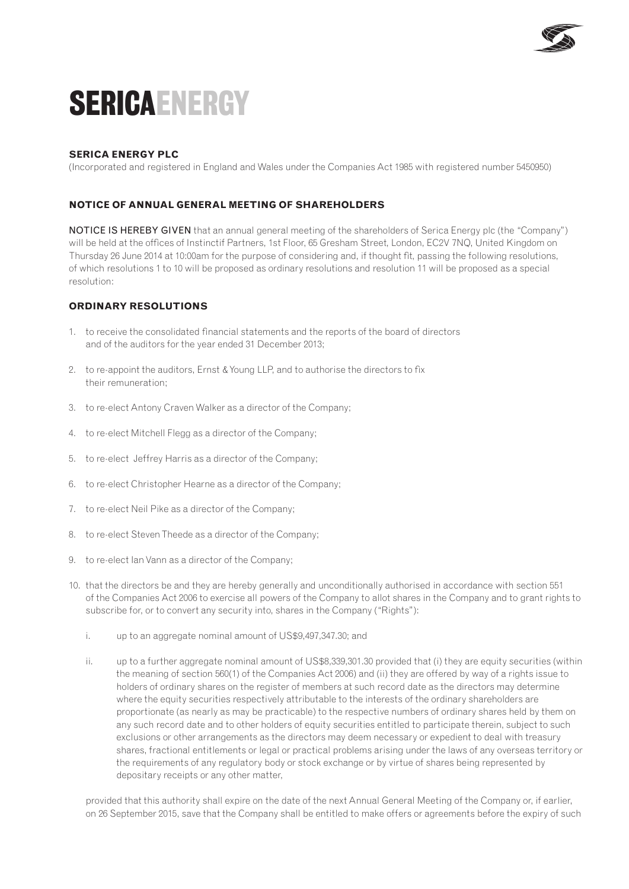

# **SericaENERGY**

## **SERICA ENERGY PLC**

(Incorporated and registered in England and Wales under the Companies Act 1985 with registered number 5450950)

### **notice of annual general meeting of shareholders**

NOTICE IS HEREBY GIVEN that an annual general meeting of the shareholders of Serica Energy plc (the "Company") will be held at the offices of Instinctif Partners, 1st Floor, 65 Gresham Street, London, EC2V 7NQ, United Kingdom on Thursday 26 June 2014 at 10:00am for the purpose of considering and, if thought fit, passing the following resolutions, of which resolutions 1 to 10 will be proposed as ordinary resolutions and resolution 11 will be proposed as a special resolution:

#### **ORDINARY RESOLUTIONS**

- 1. to receive the consolidated financial statements and the reports of the board of directors and of the auditors for the year ended 31 December 2013;
- 2. to re-appoint the auditors, Ernst & Young LLP, and to authorise the directors to fix their remuneration;
- 3. to re-elect Antony Craven Walker as a director of the Company;
- 4. to re-elect Mitchell Flegg as a director of the Company;
- 5. to re-elect Jeffrey Harris as a director of the Company;
- 6. to re-elect Christopher Hearne as a director of the Company;
- 7. to re-elect Neil Pike as a director of the Company;
- 8. to re-elect Steven Theede as a director of the Company;
- 9. to re-elect Ian Vann as a director of the Company;
- 10. that the directors be and they are hereby generally and unconditionally authorised in accordance with section 551 of the Companies Act 2006 to exercise all powers of the Company to allot shares in the Company and to grant rights to subscribe for, or to convert any security into, shares in the Company ("Rights"):
	- i. up to an aggregate nominal amount of US\$9,497,347.30; and
	- ii. up to a further aggregate nominal amount of US\$8,339,301.30 provided that (i) they are equity securities (within the meaning of section 560(1) of the Companies Act 2006) and (ii) they are offered by way of a rights issue to holders of ordinary shares on the register of members at such record date as the directors may determine where the equity securities respectively attributable to the interests of the ordinary shareholders are proportionate (as nearly as may be practicable) to the respective numbers of ordinary shares held by them on any such record date and to other holders of equity securities entitled to participate therein, subject to such exclusions or other arrangements as the directors may deem necessary or expedient to deal with treasury shares, fractional entitlements or legal or practical problems arising under the laws of any overseas territory or the requirements of any regulatory body or stock exchange or by virtue of shares being represented by depositary receipts or any other matter,

provided that this authority shall expire on the date of the next Annual General Meeting of the Company or, if earlier, on 26 September 2015, save that the Company shall be entitled to make offers or agreements before the expiry of such